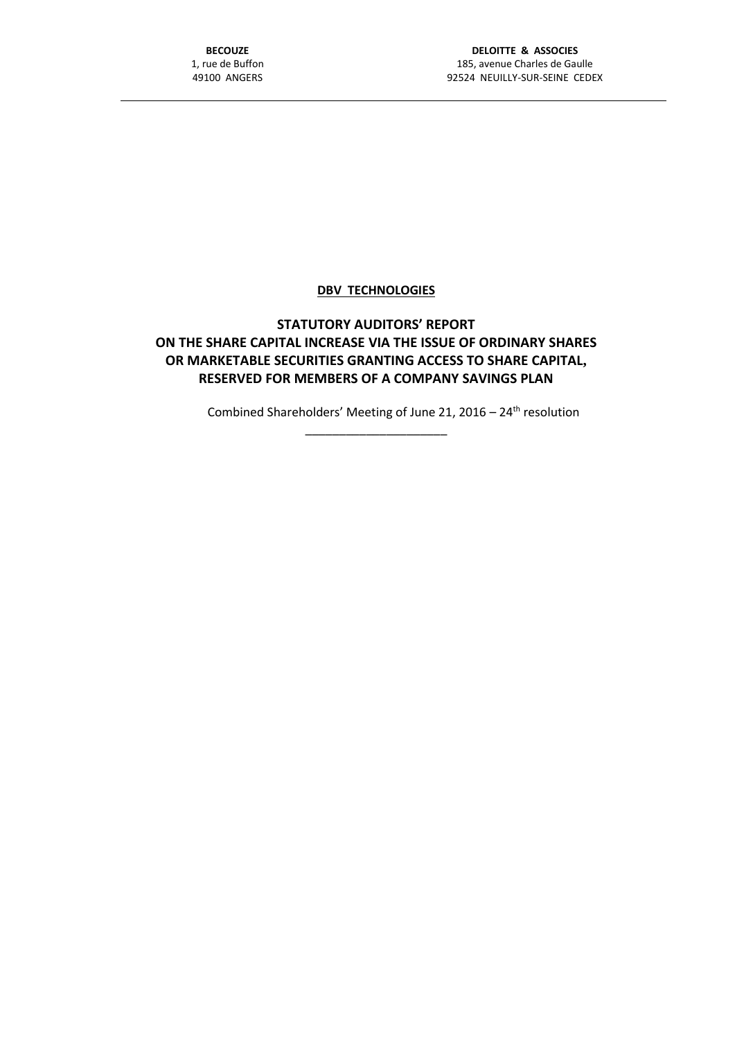## **DBV TECHNOLOGIES**

# **STATUTORY AUDITORS' REPORT ON THE SHARE CAPITAL INCREASE VIA THE ISSUE OF ORDINARY SHARES OR MARKETABLE SECURITIES GRANTING ACCESS TO SHARE CAPITAL, RESERVED FOR MEMBERS OF A COMPANY SAVINGS PLAN**

\_\_\_\_\_\_\_\_\_\_\_\_\_\_\_\_\_\_\_\_\_

Combined Shareholders' Meeting of June 21, 2016 –  $24<sup>th</sup>$  resolution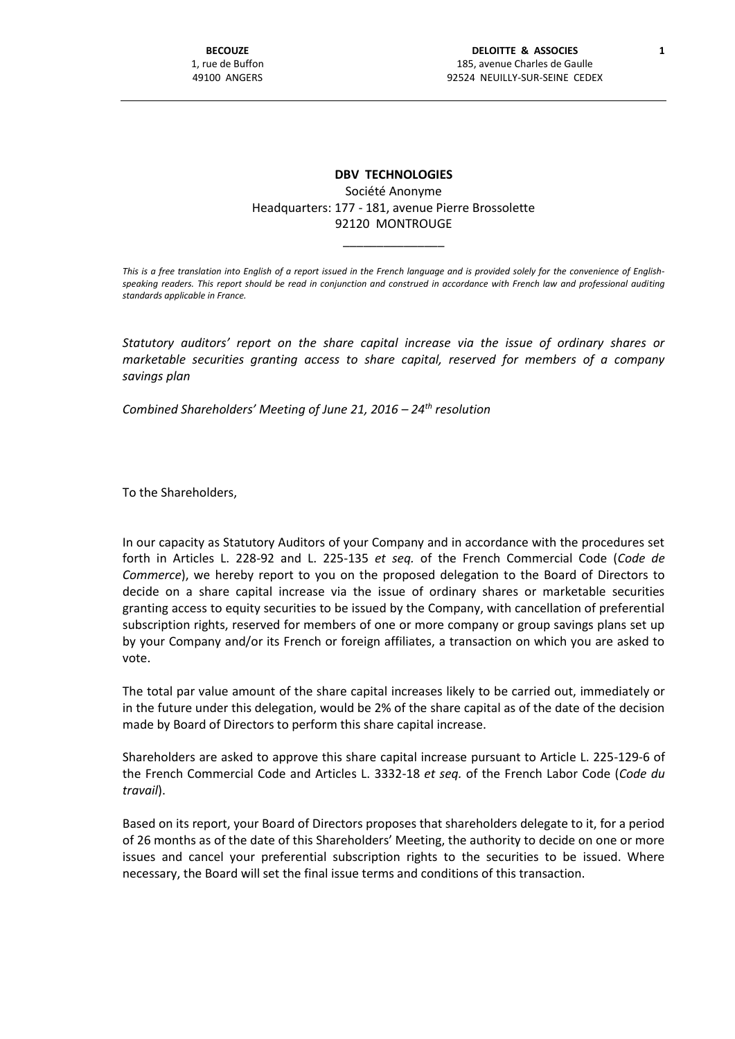# **DBV TECHNOLOGIES**

### Société Anonyme Headquarters: 177 - 181, avenue Pierre Brossolette 92120 MONTROUGE

\_\_\_\_\_\_\_\_\_\_\_\_\_\_\_

*This is a free translation into English of a report issued in the French language and is provided solely for the convenience of Englishspeaking readers. This report should be read in conjunction and construed in accordance with French law and professional auditing standards applicable in France.*

*Statutory auditors' report on the share capital increase via the issue of ordinary shares or marketable securities granting access to share capital, reserved for members of a company savings plan*

*Combined Shareholders' Meeting of June 21, 2016 – 24th resolution*

To the Shareholders,

In our capacity as Statutory Auditors of your Company and in accordance with the procedures set forth in Articles L. 228-92 and L. 225-135 *et seq.* of the French Commercial Code (*Code de Commerce*), we hereby report to you on the proposed delegation to the Board of Directors to decide on a share capital increase via the issue of ordinary shares or marketable securities granting access to equity securities to be issued by the Company, with cancellation of preferential subscription rights, reserved for members of one or more company or group savings plans set up by your Company and/or its French or foreign affiliates, a transaction on which you are asked to vote.

The total par value amount of the share capital increases likely to be carried out, immediately or in the future under this delegation, would be 2% of the share capital as of the date of the decision made by Board of Directors to perform this share capital increase.

Shareholders are asked to approve this share capital increase pursuant to Article L. 225-129-6 of the French Commercial Code and Articles L. 3332-18 *et seq.* of the French Labor Code (*Code du travail*).

Based on its report, your Board of Directors proposes that shareholders delegate to it, for a period of 26 months as of the date of this Shareholders' Meeting, the authority to decide on one or more issues and cancel your preferential subscription rights to the securities to be issued. Where necessary, the Board will set the final issue terms and conditions of this transaction.